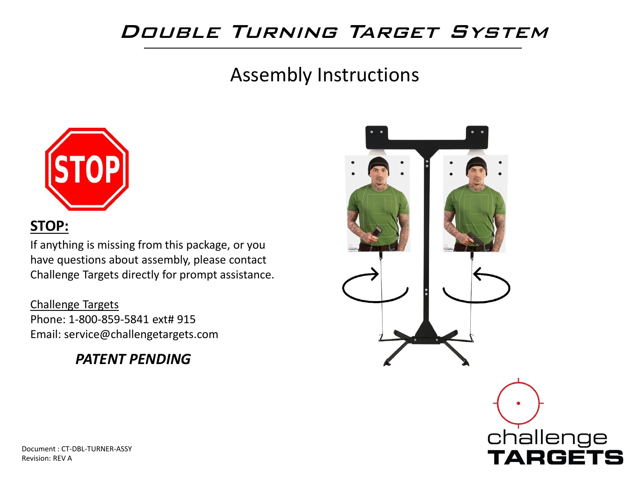#### Double Turning Target System

#### Assembly Instructions



#### **STOP:**

If anything is missing from this package, or you have questions about assembly, please contact Challenge Targets directly for prompt assistance.

Challenge Targets Phone: 1-800-859-5841 ext# 915 Email: service@challengetargets.com

#### *PATENT PENDING*



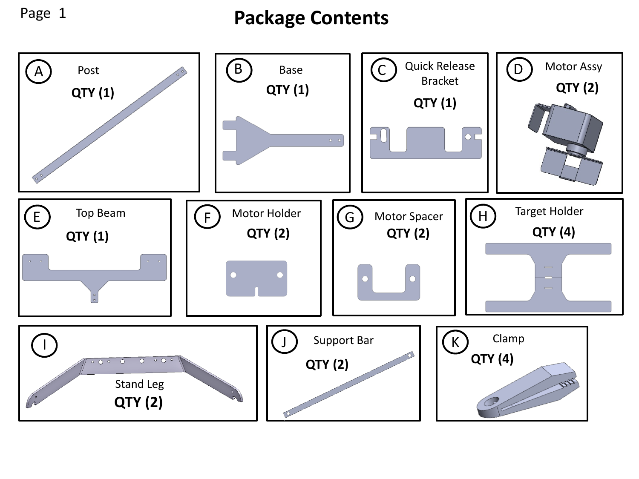Page 1

#### **Package Contents**

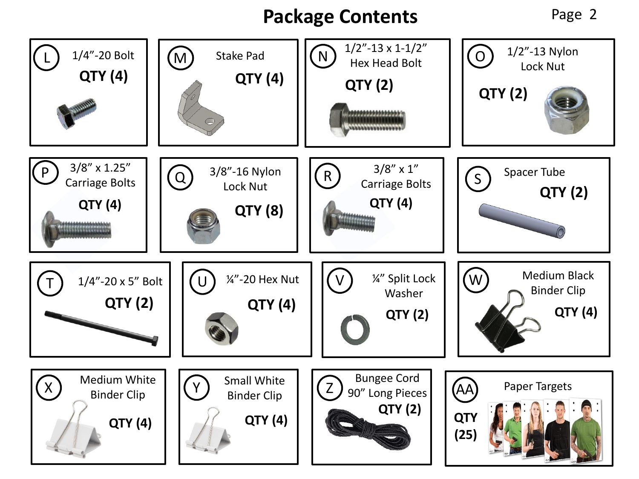### **Package Contents** Page 2

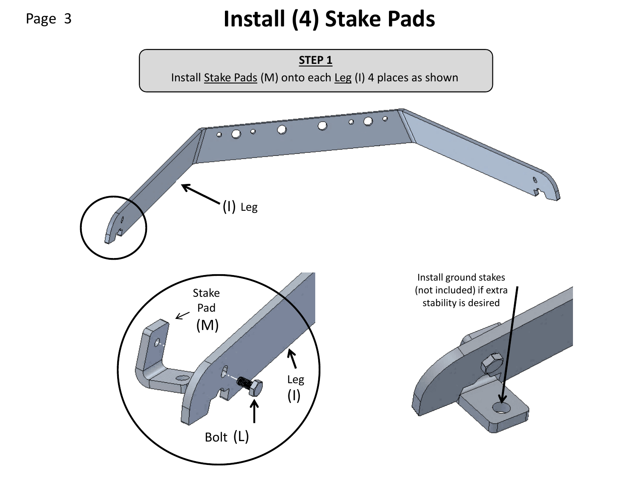# Page 3 **Install (4) Stake Pads**

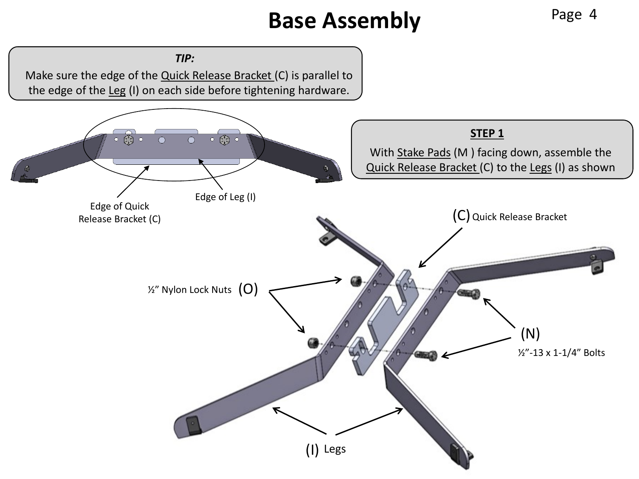# **Base Assembly** Page 4

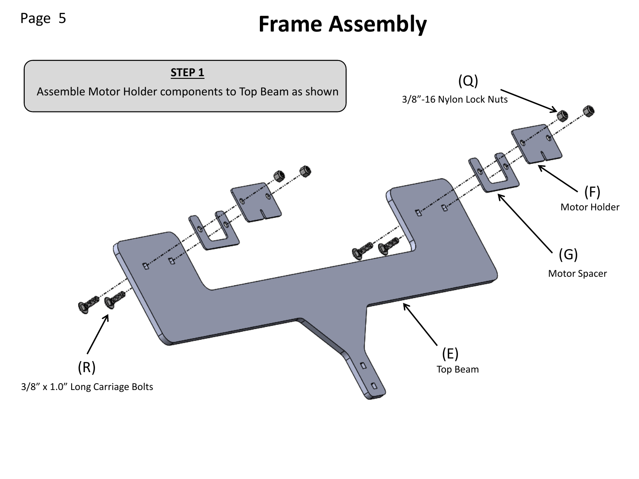# Page 5 **Frame Assembly**

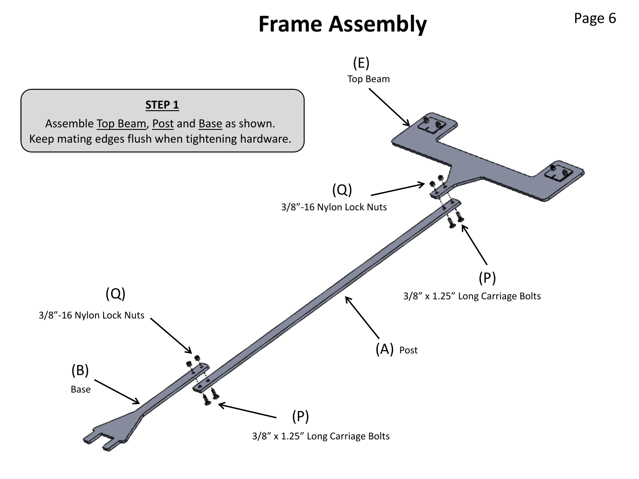# **Frame Assembly** Page 6

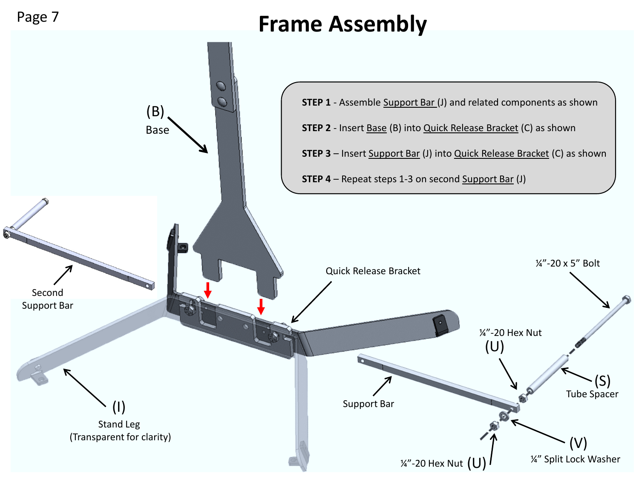

## **Frame Assembly**

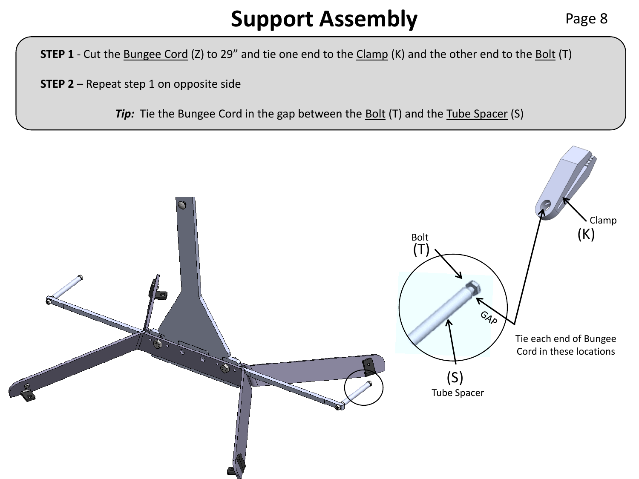## **Support Assembly** Page 8

**STEP 1** - Cut the **Bungee Cord** (Z) to 29" and tie one end to the Clamp (K) and the other end to the Bolt (T)

**STEP 2** – Repeat step 1 on opposite side

**Tip:** Tie the Bungee Cord in the gap between the Bolt (T) and the Tube Spacer (S)